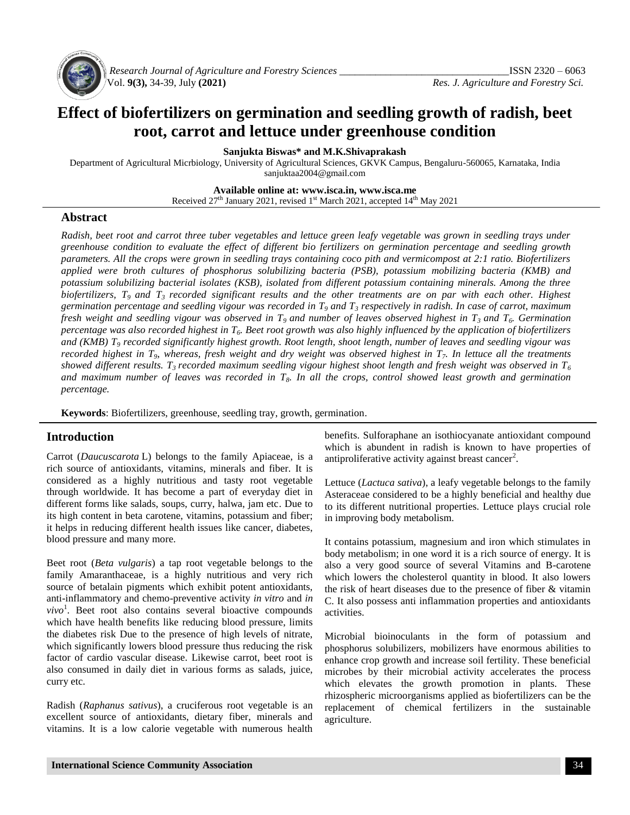

*Research Journal of Agriculture and Forestry Sciences \_\_\_\_\_\_\_\_\_\_\_\_\_\_\_\_\_\_\_\_\_\_\_\_\_\_\_\_\_\_\_\_\_*ISSN 2320 – 6063

# **Effect of biofertilizers on germination and seedling growth of radish, beet root, carrot and lettuce under greenhouse condition**

**Sanjukta Biswas\* and M.K.Shivaprakash**

Department of Agricultural Micrbiology, University of Agricultural Sciences, GKVK Campus, Bengaluru-560065, Karnataka, India [sanjuktaa2004@gmail.com](mailto:sanjuktaa2004@gmail.com)

**Available online at: www.isca.in, www.isca.me**

Received 27<sup>th</sup> January 2021, revised 1<sup>st</sup> March 2021, accepted 14<sup>th</sup> May 2021

## **Abstract**

*Radish, beet root and carrot three tuber vegetables and lettuce green leafy vegetable was grown in seedling trays under greenhouse condition to evaluate the effect of different bio fertilizers on germination percentage and seedling growth parameters. All the crops were grown in seedling trays containing coco pith and vermicompost at 2:1 ratio. Biofertilizers applied were broth cultures of phosphorus solubilizing bacteria (PSB), potassium mobilizing bacteria (KMB) and potassium solubilizing bacterial isolates (KSB), isolated from different potassium containing minerals. Among the three biofertilizers, T<sup>9</sup> and T<sup>3</sup> recorded significant results and the other treatments are on par with each other. Highest germination percentage and seedling vigour was recorded in T<sup>9</sup> and T<sup>3</sup> respectively in radish. In case of carrot, maximum fresh weight and seedling vigour was observed in T<sup>9</sup> and number of leaves observed highest in T<sup>3</sup> and T6. Germination percentage was also recorded highest in T6. Beet root growth was also highly influenced by the application of biofertilizers and (KMB) T<sup>9</sup> recorded significantly highest growth. Root length, shoot length, number of leaves and seedling vigour was recorded highest in T9, whereas, fresh weight and dry weight was observed highest in T7. In lettuce all the treatments showed different results. T<sup>3</sup> recorded maximum seedling vigour highest shoot length and fresh weight was observed in T<sup>6</sup> and maximum number of leaves was recorded in T8. In all the crops, control showed least growth and germination percentage.*

**Keywords**: Biofertilizers, greenhouse, seedling tray, growth, germination.

## **Introduction**

Carrot (*Daucuscarota* L) belongs to the family Apiaceae, is a rich source of antioxidants, vitamins, minerals and fiber. It is considered as a highly nutritious and tasty root vegetable through worldwide. It has become a part of everyday diet in different forms like salads, soups, curry, halwa, jam etc. Due to its high content in beta carotene, vitamins, potassium and fiber; it helps in reducing different health issues like cancer, diabetes, blood pressure and many more.

Beet root (*Beta vulgaris*) a tap root vegetable belongs to the family Amaranthaceae, is a highly nutritious and very rich source of betalain pigments which exhibit potent antioxidants, anti-inflammatory and chemo-preventive activity *in vitro* and *in vivo*<sup>1</sup> . Beet root also contains several bioactive compounds which have health benefits like reducing blood pressure, limits the diabetes risk Due to the presence of high levels of nitrate, which significantly lowers blood pressure thus reducing the risk factor of cardio vascular disease. Likewise carrot, beet root is also consumed in daily diet in various forms as salads, juice, curry etc.

Radish (*Raphanus sativus*), a cruciferous root vegetable is an excellent source of antioxidants, dietary fiber, minerals and vitamins. It is a low calorie vegetable with numerous health

benefits. Sulforaphane an isothiocyanate antioxidant compound which is abundent in radish is known to have properties of antiproliferative activity against breast cancer<sup>2</sup>.

Lettuce (*Lactuca sativa*), a leafy vegetable belongs to the family Asteraceae considered to be a highly beneficial and healthy due to its different nutritional properties. Lettuce plays crucial role in improving body metabolism.

It contains potassium, magnesium and iron which stimulates in body metabolism; in one word it is a rich source of energy. It is also a very good source of several Vitamins and B-carotene which lowers the cholesterol quantity in blood. It also lowers the risk of heart diseases due to the presence of fiber & vitamin C. It also possess anti inflammation properties and antioxidants activities.

Microbial bioinoculants in the form of potassium and phosphorus solubilizers, mobilizers have enormous abilities to enhance crop growth and increase soil fertility. These beneficial microbes by their microbial activity accelerates the process which elevates the growth promotion in plants. These rhizospheric microorganisms applied as biofertilizers can be the replacement of chemical fertilizers in the sustainable agriculture.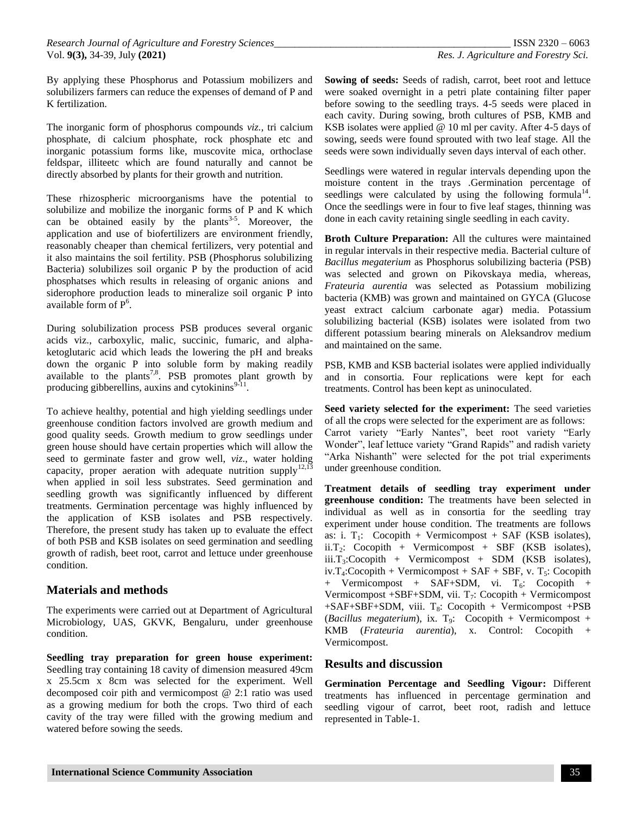By applying these Phosphorus and Potassium mobilizers and solubilizers farmers can reduce the expenses of demand of P and K fertilization.

The inorganic form of phosphorus compounds *viz.,* tri calcium phosphate, di calcium phosphate, rock phosphate etc and inorganic potassium forms like, muscovite mica, orthoclase feldspar, illiteetc which are found naturally and cannot be directly absorbed by plants for their growth and nutrition.

These rhizospheric microorganisms have the potential to solubilize and mobilize the inorganic forms of P and K which can be obtained easily by the plants<sup>3-5</sup>. Moreover, the application and use of biofertilizers are environment friendly, reasonably cheaper than chemical fertilizers, very potential and it also maintains the soil fertility. PSB (Phosphorus solubilizing Bacteria) solubilizes soil organic P by the production of acid phosphatses which results in releasing of organic anions and siderophore production leads to mineralize soil organic P into available form of  $P^6$ .

During solubilization process PSB produces several organic acids viz., carboxylic, malic, succinic, fumaric, and alphaketoglutaric acid which leads the lowering the pH and breaks down the organic P into soluble form by making readily available to the plants<sup>7,8</sup>. PSB promotes plant growth by producing gibberellins, auxins and cytokinins $9-11$ .

To achieve healthy, potential and high yielding seedlings under greenhouse condition factors involved are growth medium and good quality seeds. Growth medium to grow seedlings under green house should have certain properties which will allow the seed to germinate faster and grow well, *viz*., water holding capacity, proper aeration with adequate nutrition supply<sup>12,13</sup> when applied in soil less substrates. Seed germination and seedling growth was significantly influenced by different treatments. Germination percentage was highly influenced by the application of KSB isolates and PSB respectively. Therefore, the present study has taken up to evaluate the effect of both PSB and KSB isolates on seed germination and seedling growth of radish, beet root, carrot and lettuce under greenhouse condition.

## **Materials and methods**

The experiments were carried out at Department of Agricultural Microbiology, UAS, GKVK, Bengaluru, under greenhouse condition.

**Seedling tray preparation for green house experiment:** Seedling tray containing 18 cavity of dimension measured 49cm x 25.5cm x 8cm was selected for the experiment. Well decomposed coir pith and vermicompost @ 2:1 ratio was used as a growing medium for both the crops. Two third of each cavity of the tray were filled with the growing medium and watered before sowing the seeds.

**Sowing of seeds:** Seeds of radish, carrot, beet root and lettuce were soaked overnight in a petri plate containing filter paper before sowing to the seedling trays. 4-5 seeds were placed in each cavity. During sowing, broth cultures of PSB, KMB and KSB isolates were applied @ 10 ml per cavity. After 4-5 days of sowing, seeds were found sprouted with two leaf stage. All the seeds were sown individually seven days interval of each other.

Seedlings were watered in regular intervals depending upon the moisture content in the trays .Germination percentage of seedlings were calculated by using the following formula $14$ . Once the seedlings were in four to five leaf stages, thinning was done in each cavity retaining single seedling in each cavity.

**Broth Culture Preparation:** All the cultures were maintained in regular intervals in their respective media. Bacterial culture of *Bacillus megaterium* as Phosphorus solubilizing bacteria (PSB) was selected and grown on Pikovskaya media, whereas, *Frateuria aurentia* was selected as Potassium mobilizing bacteria (KMB) was grown and maintained on GYCA (Glucose yeast extract calcium carbonate agar) media. Potassium solubilizing bacterial (KSB) isolates were isolated from two different potassium bearing minerals on Aleksandrov medium and maintained on the same.

PSB, KMB and KSB bacterial isolates were applied individually and in consortia. Four replications were kept for each treatments. Control has been kept as uninoculated.

**Seed variety selected for the experiment:** The seed varieties of all the crops were selected for the experiment are as follows: Carrot variety "Early Nantes", beet root variety "Early Wonder", leaf lettuce variety "Grand Rapids" and radish variety "Arka Nishanth" were selected for the pot trial experiments under greenhouse condition.

**Treatment details of seedling tray experiment under greenhouse condition:** The treatments have been selected in individual as well as in consortia for the seedling tray experiment under house condition. The treatments are follows as: i.  $T_1$ : Cocopith + Vermicompost + SAF (KSB isolates), ii.T<sub>2</sub>: Cocopith + Vermicompost + SBF (KSB isolates),  $iii.T<sub>3</sub>:Cocopith + Vermicompost + SDM (KSB isolates),$  $iv.T_4:Cocopith + Vermicompost + SAF + SBF, v. T_5: Cocopith$ + Vermicompost + SAF+SDM, vi. T<sub>6</sub>: Cocopith + Vermicompost  $+SBF+SDM$ , vii. T<sub>7</sub>: Cocopith  $+$  Vermicompost  $+SAF+SBF+SDM$ , viii. T<sub>8</sub>: Cocopith + Vermicompost +PSB (*Bacillus megaterium*), ix.  $T<sub>9</sub>$ : Cocopith + Vermicompost + KMB (*Frateuria aurentia*), x. Control: Cocopith + Vermicompost.

# **Results and discussion**

**Germination Percentage and Seedling Vigour:** Different treatments has influenced in percentage germination and seedling vigour of carrot, beet root, radish and lettuce represented in Table-1.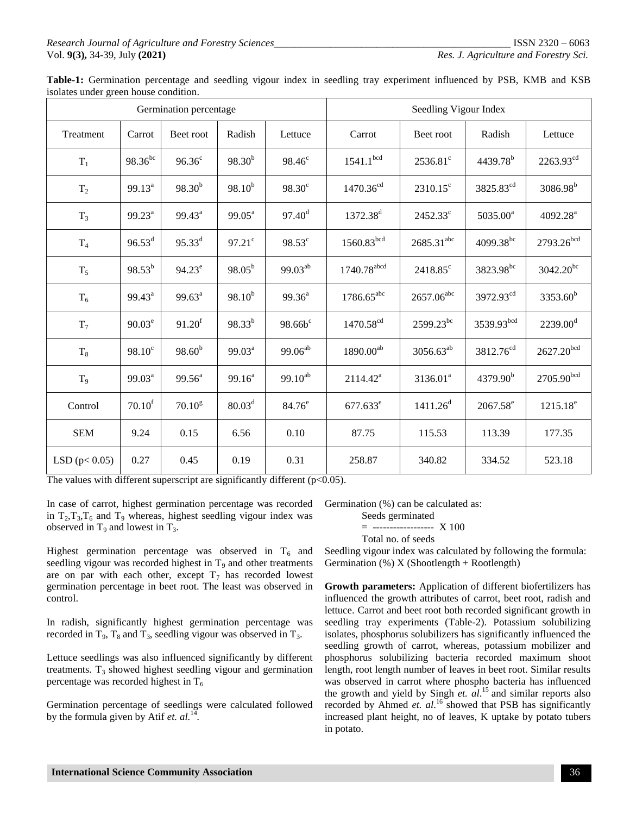| Table-1: Germination percentage and seedling vigour index in seedling tray experiment influenced by PSB, KMB and KSB |  |  |  |  |  |  |  |  |
|----------------------------------------------------------------------------------------------------------------------|--|--|--|--|--|--|--|--|
| isolates under green house condition.                                                                                |  |  |  |  |  |  |  |  |

|                    |                    | Germination percentage |                    | Seedling Vigour Index |                        |                   |                       |                       |
|--------------------|--------------------|------------------------|--------------------|-----------------------|------------------------|-------------------|-----------------------|-----------------------|
| Treatment          | Carrot             | Beet root              | Radish             | Lettuce               | Carrot                 | Beet root         | Radish                | Lettuce               |
| $T_1$              | $98.36^{bc}$       | $96.36^{\circ}$        | $98.30^{b}$        | $98.46^c$             | 1541.1 <sup>bcd</sup>  | $2536.81^{\circ}$ | $4439.78^{b}$         | 2263.93 <sup>cd</sup> |
| $T_2$              | $99.13^a$          | $98.30^{b}$            | $98.10^{b}$        | $98.30^{\circ}$       | $1470.36^{cd}$         | $2310.15^c$       | 3825.83 <sup>cd</sup> | $3086.98^{b}$         |
| $T_3$              | $99.23^a$          | $99.43^a$              | $99.05^{\text{a}}$ | $97.40^{\rm d}$       | 1372.38 <sup>d</sup>   | $2452.33^{\circ}$ | 5035.00 <sup>a</sup>  | 4092.28 <sup>a</sup>  |
| T <sub>4</sub>     | $96.53^d$          | $95.33^{d}$            | $97.21^{\circ}$    | 98.53°                | 1560.83 <sup>bcd</sup> | $2685.31^{abc}$   | $4099.38^{bc}$        | 2793.26bcd            |
| $T_5$              | $98.53^{b}$        | $94.23^e$              | $98.05^{b}$        | $99.03^{ab}$          | 1740.78abcd            | 2418.85°          | 3823.98 <sup>bc</sup> | $3042.20^{bc}$        |
| $T_6$              | $99.43^a$          | $99.63^a$              | $98.10^{b}$        | $99.36^{a}$           | $1786.65^{abc}$        | $2657.06^{abc}$   | 3972.93 <sup>cd</sup> | $3353.60^{b}$         |
| $T_7$              | $90.03^e$          | 91.20 <sup>f</sup>     | $98.33^{b}$        | $98.66b^c$            | $1470.58^{cd}$         | $2599.23^{bc}$    | 3539.93bcd            | $2239.00^d$           |
| $\rm T_8$          | $98.10^c$          | $98.60^{b}$            | $99.03^a$          | $99.06^{ab}$          | $1890.00^{ab}$         | $3056.63^{ab}$    | 3812.76 <sup>cd</sup> | $2627.20^{bcd}$       |
| $T_9$              | 99.03 <sup>a</sup> | $99.56^a$              | $99.16^a$          | $99.10^{ab}$          | $2114.42^a$            | $3136.01^a$       | 4379.90 <sup>b</sup>  | 2705.90bcd            |
| Control            | 70.10 <sup>f</sup> | $70.10^{g}$            | $80.03^d$          | $84.76^e$             | $677.633^e$            | $1411.26^d$       | $2067.58^e$           | $1215.18^e$           |
| <b>SEM</b>         | 9.24               | 0.15                   | 6.56               | 0.10                  | 87.75                  | 115.53            | 113.39                | 177.35                |
| LSD ( $p < 0.05$ ) | 0.27               | 0.45                   | 0.19               | 0.31                  | 258.87                 | 340.82            | 334.52                | 523.18                |

The values with different superscript are significantly different  $(p<0.05)$ .

In case of carrot, highest germination percentage was recorded in  $T_2, T_3, T_6$  and  $T_9$  whereas, highest seedling vigour index was observed in  $T_9$  and lowest in  $T_3$ .

Highest germination percentage was observed in  $T_6$  and seedling vigour was recorded highest in  $T<sub>9</sub>$  and other treatments are on par with each other, except  $T_7$  has recorded lowest germination percentage in beet root. The least was observed in control.

In radish, significantly highest germination percentage was recorded in  $T_9$ ,  $T_8$  and  $T_3$ , seedling vigour was observed in  $T_3$ .

Lettuce seedlings was also influenced significantly by different treatments.  $T_3$  showed highest seedling vigour and germination percentage was recorded highest in  $T_6$ 

Germination percentage of seedlings were calculated followed by the formula given by Atif *et.*  $al$ <sup>14</sup>.

Germination (%) can be calculated as:

Seeds germinated

$$
= \cdots \cdots \cdots \cdots \cdots \cdots \quad X \, 100
$$

Total no. of seeds

Seedling vigour index was calculated by following the formula: Germination  $(\%) X$  (Shootlength + Rootlength)

**Growth parameters:** Application of different biofertilizers has influenced the growth attributes of carrot, beet root, radish and lettuce. Carrot and beet root both recorded significant growth in seedling tray experiments (Table-2). Potassium solubilizing isolates, phosphorus solubilizers has significantly influenced the seedling growth of carrot, whereas, potassium mobilizer and phosphorus solubilizing bacteria recorded maximum shoot length, root length number of leaves in beet root. Similar results was observed in carrot where phospho bacteria has influenced the growth and yield by Singh *et. al*. <sup>15</sup> and similar reports also recorded by Ahmed *et. al.*<sup>16</sup> showed that PSB has significantly increased plant height, no of leaves, K uptake by potato tubers in potato.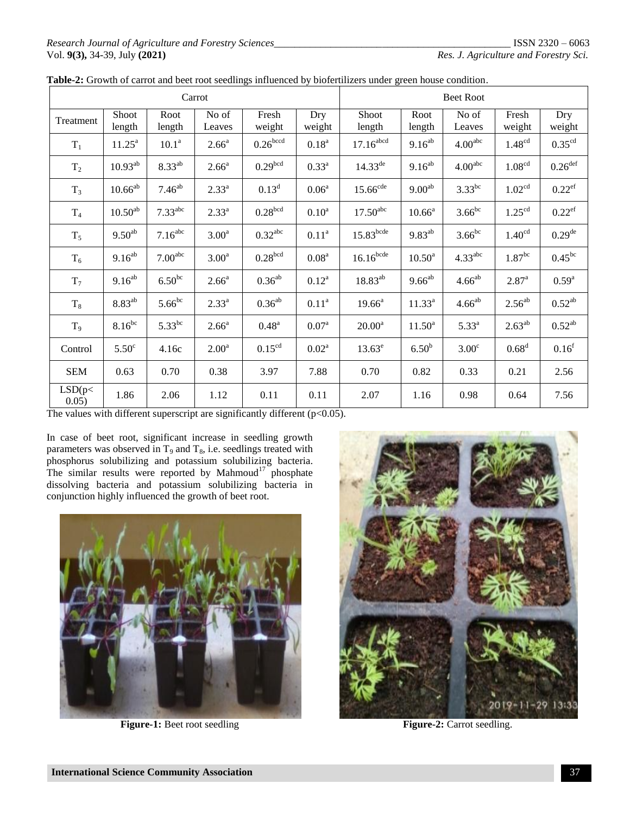| Carrot          |                 |                     |                   |                       |                   | <b>Beet Root</b>        |                    |                     |                      |                       |  |
|-----------------|-----------------|---------------------|-------------------|-----------------------|-------------------|-------------------------|--------------------|---------------------|----------------------|-----------------------|--|
| Treatment       | Shoot<br>length | Root<br>length      | No of<br>Leaves   | Fresh<br>weight       | Dry<br>weight     | Shoot<br>length         | Root<br>length     | No of<br>Leaves     | Fresh<br>weight      | Dry<br>weight         |  |
| $T_1$           | $11.25^{\rm a}$ | 10.1 <sup>a</sup>   | $2.66^{\circ}$    | 0.26 <sup>bccd</sup>  | $0.18^{a}$        | $17.16$ <sup>abcd</sup> | $9.16^{ab}$        | 4.00 <sup>abc</sup> | 1.48 <sup>cd</sup>   | 0.35 <sup>cd</sup>    |  |
| $T_2$           | $10.93^{ab}$    | $8.33^{ab}$         | 2.66 <sup>a</sup> | 0.29 <sup>bcd</sup>   | $0.33^{a}$        | $14.33^{de}$            | $9.16^{ab}$        | 4.00 <sup>abc</sup> | 1.08 <sup>cd</sup>   | $0.26$ <sup>def</sup> |  |
| $T_3$           | $10.66^{ab}$    | $7.46^{ab}$         | $2.33^{a}$        | $0.13^d$              | 0.06 <sup>a</sup> | $15.66$ <sup>cde</sup>  | 9.00 <sup>ab</sup> | $3.33^{bc}$         | 1.02 <sup>cd</sup>   | $0.22$ <sup>ef</sup>  |  |
| T <sub>4</sub>  | $10.50^{ab}$    | 7.33 <sup>abc</sup> | $2.33^{a}$        | 0.28 <sup>bcd</sup>   | 0.10 <sup>a</sup> | $17.50$ <sup>abc</sup>  | $10.66^a$          | $3.66^{bc}$         | 1.25 <sup>cd</sup>   | $0.22$ <sup>ef</sup>  |  |
| $T_5$           | $9.50^{ab}$     | 7.16 <sup>abc</sup> | 3.00 <sup>a</sup> | $0.32$ <sup>abc</sup> | 0.11 <sup>a</sup> | $15.83$ <sup>bcde</sup> | $9.83^{ab}$        | $3.66^{bc}$         | 1.40 <sup>cd</sup>   | $0.29$ <sup>de</sup>  |  |
| $T_6$           | $9.16^{ab}$     | 7.00 <sup>abc</sup> | 3.00 <sup>a</sup> | 0.28 <sup>bcd</sup>   | 0.08 <sup>a</sup> | $16.16$ <sub>bcde</sub> | $10.50^{\text{a}}$ | 4.33 <sup>abc</sup> | $1.87$ <sup>bc</sup> | $0.45^{bc}$           |  |
| $T_7$           | $9.16^{ab}$     | $6.50^{bc}$         | $2.66^{\circ}$    | $0.36^{ab}$           | $0.12^a$          | $18.83^{ab}$            | $9.66^{ab}$        | $4.66^{ab}$         | 2.87 <sup>a</sup>    | $0.59^{a}$            |  |
| $T_8$           | $8.83^{ab}$     | $5.66^{bc}$         | $2.33^{a}$        | $0.36^{ab}$           | 0.11 <sup>a</sup> | $19.66^a$               | $11.33^{a}$        | $4.66^{ab}$         | $2.56^{ab}$          | $0.52^{ab}$           |  |
| T <sub>9</sub>  | $8.16^{bc}$     | $5.33^{bc}$         | 2.66 <sup>a</sup> | $0.48^{\rm a}$        | $0.07^{a}$        | $20.00^a$               | $11.50^a$          | 5.33 <sup>a</sup>   | $2.63^{ab}$          | $0.52^{ab}$           |  |
| Control         | $5.50^\circ$    | 4.16c               | 2.00 <sup>a</sup> | 0.15 <sup>cd</sup>    | $0.02^a$          | $13.63^e$               | 6.50 <sup>b</sup>  | 3.00 <sup>c</sup>   | 0.68 <sup>d</sup>    | 0.16 <sup>f</sup>     |  |
| <b>SEM</b>      | 0.63            | 0.70                | 0.38              | 3.97                  | 7.88              | 0.70                    | 0.82               | 0.33                | 0.21                 | 2.56                  |  |
| LSD(p<<br>0.05) | 1.86            | 2.06                | 1.12              | 0.11                  | 0.11              | 2.07                    | 1.16               | 0.98                | 0.64                 | 7.56                  |  |

| Table-2: Growth of carrot and beet root seedlings influenced by biofertilizers under green house condition. |  |
|-------------------------------------------------------------------------------------------------------------|--|
|                                                                                                             |  |

The values with different superscript are significantly different  $(p<0.05)$ .

In case of beet root, significant increase in seedling growth parameters was observed in  $T_9$  and  $T_8$ , i.e. seedlings treated with phosphorus solubilizing and potassium solubilizing bacteria. The similar results were reported by Mahmoud $17$  phosphate dissolving bacteria and potassium solubilizing bacteria in conjunction highly influenced the growth of beet root.



**Figure-1:** Beet root seedling **Figure-2:** Carrot seedling.

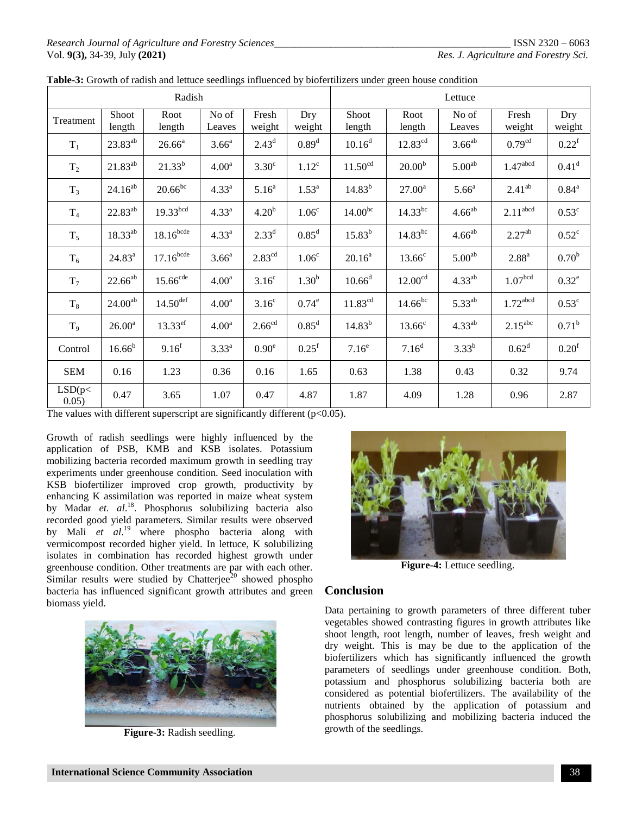#### *Research Journal of Agriculture and Forestry Sciences\_\_\_\_\_\_\_\_\_\_\_\_\_\_\_\_\_\_\_\_\_\_\_\_\_\_\_\_\_\_\_\_\_\_\_\_\_\_\_\_\_\_\_\_\_\_* ISSN 2320 – 6063 Vol. **9(3),** 34-39, July **(2021)** *Res. J. Agriculture and Forestry Sci.*

|                 |                     | Radish                  |                   |                    | Lettuce           |                     |                     |                    |                        |                   |
|-----------------|---------------------|-------------------------|-------------------|--------------------|-------------------|---------------------|---------------------|--------------------|------------------------|-------------------|
| Treatment       | Shoot<br>length     | Root<br>length          | No of<br>Leaves   | Fresh<br>weight    | Dry<br>weight     | Shoot<br>length     | Root<br>length      | No of<br>Leaves    | Fresh<br>weight        | Dry<br>weight     |
| $T_1$           | $23.83^{ab}$        | $26.66^a$               | 3.66 <sup>a</sup> | $2.43^d$           | 0.89 <sup>d</sup> | $10.16^d$           | $12.83^{cd}$        | $3.66^{ab}$        | 0.79 <sup>cd</sup>     | $0.22^{\rm f}$    |
| T <sub>2</sub>  | $21.83^{ab}$        | $21.33^{b}$             | 4.00 <sup>a</sup> | 3.30 <sup>c</sup>  | $1.12^c$          | 11.50 <sup>cd</sup> | 20.00 <sup>b</sup>  | 5.00 <sup>ab</sup> | 1.47 <sup>abcd</sup>   | 0.41 <sup>d</sup> |
| $T_3$           | $24.16^{ab}$        | $20.66^{bc}$            | $4.33^{a}$        | 5.16 <sup>a</sup>  | $1.53^{a}$        | $14.83^{b}$         | $27.00^a$           | 5.66 <sup>a</sup>  | $2.41^{ab}$            | $0.84^{\rm a}$    |
| $T_4$           | $22.83^{ab}$        | 19.33 <sup>bcd</sup>    | $4.33^{a}$        | 4.20 <sup>b</sup>  | 1.06 <sup>c</sup> | 14.00 <sup>bc</sup> | $14.33^{bc}$        | $4.66^{ab}$        | $2.11$ <sup>abcd</sup> | $0.53^{\circ}$    |
| $T_5$           | $18.33^{ab}$        | $18.16$ <sup>bcde</sup> | $4.33^{a}$        | $2.33^{d}$         | 0.85 <sup>d</sup> | $15.83^{b}$         | $14.83^{bc}$        | $4.66^{ab}$        | 2.27 <sup>ab</sup>     | $0.52^{\circ}$    |
| $T_6$           | $24.83^a$           | $17.16$ bcde            | 3.66 <sup>a</sup> | $2.83^{\text{cd}}$ | 1.06 <sup>c</sup> | $20.16^a$           | 13.66 <sup>c</sup>  | 5.00 <sup>ab</sup> | 2.88 <sup>a</sup>      | 0.70 <sup>b</sup> |
| $T_7$           | $22.66^{ab}$        | $15.66$ <sup>cde</sup>  | 4.00 <sup>a</sup> | 3.16 <sup>c</sup>  | $1.30^{b}$        | $10.66^d$           | 12.00 <sup>cd</sup> | $4.33^{ab}$        | 1.07 <sup>bcd</sup>    | $0.32^e$          |
| $T_8$           | 24.00 <sup>ab</sup> | $14.50$ <sup>def</sup>  | 4.00 <sup>a</sup> | 3.16 <sup>c</sup>  | $0.74^e$          | 11.83 <sup>cd</sup> | $14.66^{bc}$        | $5.33^{ab}$        | $1.72$ <sup>abcd</sup> | $0.53^{\circ}$    |
| T <sub>9</sub>  | $26.00^a$           | $13.33^{ef}$            | 4.00 <sup>a</sup> | 2.66 <sup>cd</sup> | $0.85^d$          | $14.83^{b}$         | $13.66^{\circ}$     | $4.33^{ab}$        | $2.15^{\text{abc}}$    | $0.71^{\rm b}$    |
| Control         | $16.66^{b}$         | 9.16 <sup>f</sup>       | $3.33^{a}$        | 0.90 <sup>e</sup>  | $0.25^{\rm f}$    | 7.16 <sup>e</sup>   | 7.16 <sup>d</sup>   | $3.33^{b}$         | $0.62^d$               | 0.20 <sup>f</sup> |
| <b>SEM</b>      | 0.16                | 1.23                    | 0.36              | 0.16               | 1.65              | 0.63                | 1.38                | 0.43               | 0.32                   | 9.74              |
| LSD(p<<br>0.05) | 0.47                | 3.65                    | 1.07              | 0.47               | 4.87              | 1.87                | 4.09                | 1.28               | 0.96                   | 2.87              |

|  |  | Table-3: Growth of radish and lettuce seedlings influenced by biofertilizers under green house condition |
|--|--|----------------------------------------------------------------------------------------------------------|
|  |  |                                                                                                          |

The values with different superscript are significantly different  $(p<0.05)$ .

Growth of radish seedlings were highly influenced by the application of PSB, KMB and KSB isolates. Potassium mobilizing bacteria recorded maximum growth in seedling tray experiments under greenhouse condition. Seed inoculation with KSB biofertilizer improved crop growth, productivity by enhancing K assimilation was reported in maize wheat system by Madar et. al.<sup>18</sup>. Phosphorus solubilizing bacteria also recorded good yield parameters. Similar results were observed by Mali *et al*. <sup>19</sup> where phospho bacteria along with vermicompost recorded higher yield. In lettuce, K solubilizing isolates in combination has recorded highest growth under greenhouse condition. Other treatments are par with each other. Similar results were studied by Chatterjee<sup>20</sup> showed phospho bacteria has influenced significant growth attributes and green biomass yield.



**Figure-3:** Radish seedling.



**Figure-4:** Lettuce seedling.

# **Conclusion**

Data pertaining to growth parameters of three different tuber vegetables showed contrasting figures in growth attributes like shoot length, root length, number of leaves, fresh weight and dry weight. This is may be due to the application of the biofertilizers which has significantly influenced the growth parameters of seedlings under greenhouse condition. Both, potassium and phosphorus solubilizing bacteria both are considered as potential biofertilizers. The availability of the nutrients obtained by the application of potassium and phosphorus solubilizing and mobilizing bacteria induced the growth of the seedlings.